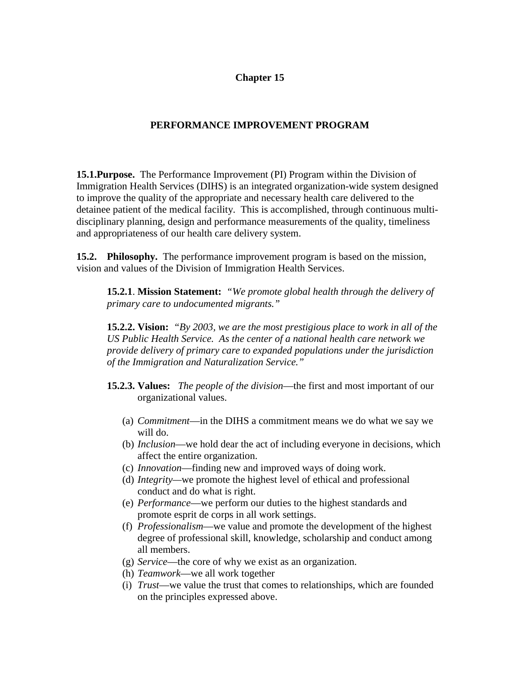## **Chapter 15**

# **PERFORMANCE IMPROVEMENT PROGRAM**

**15.1.Purpose.** The Performance Improvement (PI) Program within the Division of Immigration Health Services (DIHS) is an integrated organization-wide system designed to improve the quality of the appropriate and necessary health care delivered to the detainee patient of the medical facility. This is accomplished, through continuous multidisciplinary planning, design and performance measurements of the quality, timeliness and appropriateness of our health care delivery system.

**15.2. Philosophy.** The performance improvement program is based on the mission, vision and values of the Division of Immigration Health Services.

**15.2.1**. **Mission Statement:** *"We promote global health through the delivery of primary care to undocumented migrants."* 

**15.2.2. Vision:** *"By 2003, we are the most prestigious place to work in all of the US Public Health Service. As the center of a national health care network we provide delivery of primary care to expanded populations under the jurisdiction of the Immigration and Naturalization Service."* 

- **15.2.3. Values:** *The people of the division*—the first and most important of our organizational values.
	- (a) *Commitment*—in the DIHS a commitment means we do what we say we will do.
	- (b) *Inclusion*—we hold dear the act of including everyone in decisions, which affect the entire organization.
	- (c) *Innovation*—finding new and improved ways of doing work.
	- (d) *Integrity—*we promote the highest level of ethical and professional conduct and do what is right.
	- (e) *Performance*—we perform our duties to the highest standards and promote esprit de corps in all work settings.
	- (f) *Professionalism*—we value and promote the development of the highest degree of professional skill, knowledge, scholarship and conduct among all members.
	- (g) *Service*—the core of why we exist as an organization.
	- (h) *Teamwork*—we all work together
	- (i) *Trust*—we value the trust that comes to relationships, which are founded on the principles expressed above.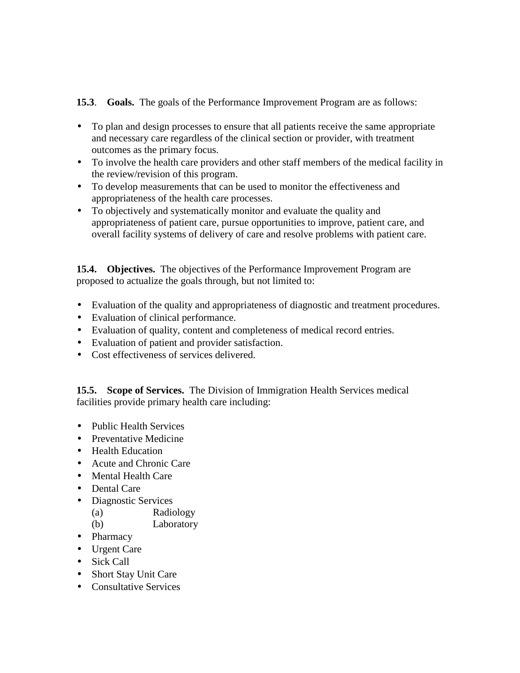**15.3**. **Goals.** The goals of the Performance Improvement Program are as follows:

- To plan and design processes to ensure that all patients receive the same appropriate and necessary care regardless of the clinical section or provider, with treatment outcomes as the primary focus.
- To involve the health care providers and other staff members of the medical facility in the review/revision of this program.
- To develop measurements that can be used to monitor the effectiveness and appropriateness of the health care processes.
- To objectively and systematically monitor and evaluate the quality and appropriateness of patient care, pursue opportunities to improve, patient care, and overall facility systems of delivery of care and resolve problems with patient care.

**15.4. Objectives.** The objectives of the Performance Improvement Program are proposed to actualize the goals through, but not limited to:

- Evaluation of the quality and appropriateness of diagnostic and treatment procedures.
- Evaluation of clinical performance.
- Evaluation of quality, content and completeness of medical record entries.
- Evaluation of patient and provider satisfaction.
- Cost effectiveness of services delivered.

**15.5. Scope of Services.** The Division of Immigration Health Services medical facilities provide primary health care including:

- Public Health Services
- Preventative Medicine
- Health Education
- Acute and Chronic Care
- Mental Health Care
- Dental Care
- Diagnostic Services
	- (a) Radiology
	- (b) Laboratory
- Pharmacy
- Urgent Care
- Sick Call
- Short Stay Unit Care
- Consultative Services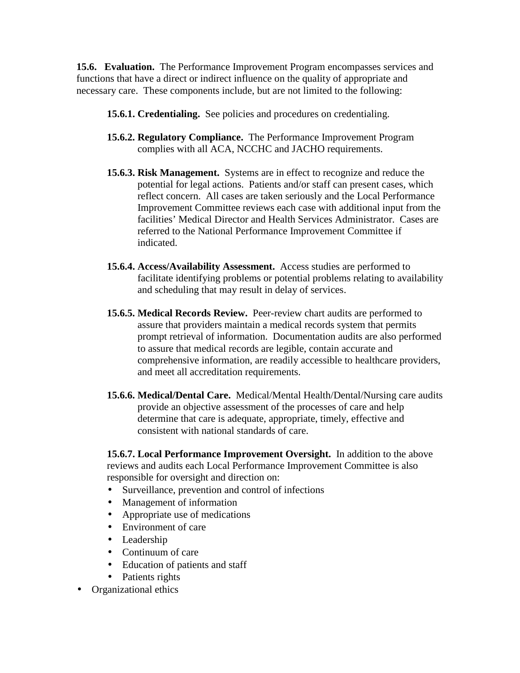**15.6. Evaluation.** The Performance Improvement Program encompasses services and functions that have a direct or indirect influence on the quality of appropriate and necessary care. These components include, but are not limited to the following:

- **15.6.1. Credentialing.** See policies and procedures on credentialing.
- **15.6.2. Regulatory Compliance.** The Performance Improvement Program complies with all ACA, NCCHC and JACHO requirements.
- **15.6.3. Risk Management.** Systems are in effect to recognize and reduce the potential for legal actions. Patients and/or staff can present cases, which reflect concern. All cases are taken seriously and the Local Performance Improvement Committee reviews each case with additional input from the facilities' Medical Director and Health Services Administrator. Cases are referred to the National Performance Improvement Committee if indicated.
- **15.6.4. Access/Availability Assessment.** Access studies are performed to facilitate identifying problems or potential problems relating to availability and scheduling that may result in delay of services.
- **15.6.5. Medical Records Review.** Peer-review chart audits are performed to assure that providers maintain a medical records system that permits prompt retrieval of information. Documentation audits are also performed to assure that medical records are legible, contain accurate and comprehensive information, are readily accessible to healthcare providers, and meet all accreditation requirements.
- **15.6.6. Medical/Dental Care.** Medical/Mental Health/Dental/Nursing care audits provide an objective assessment of the processes of care and help determine that care is adequate, appropriate, timely, effective and consistent with national standards of care.

**15.6.7. Local Performance Improvement Oversight.** In addition to the above reviews and audits each Local Performance Improvement Committee is also responsible for oversight and direction on:

- Surveillance, prevention and control of infections
- Management of information
- Appropriate use of medications
- Environment of care
- Leadership
- Continuum of care
- Education of patients and staff
- Patients rights
- Organizational ethics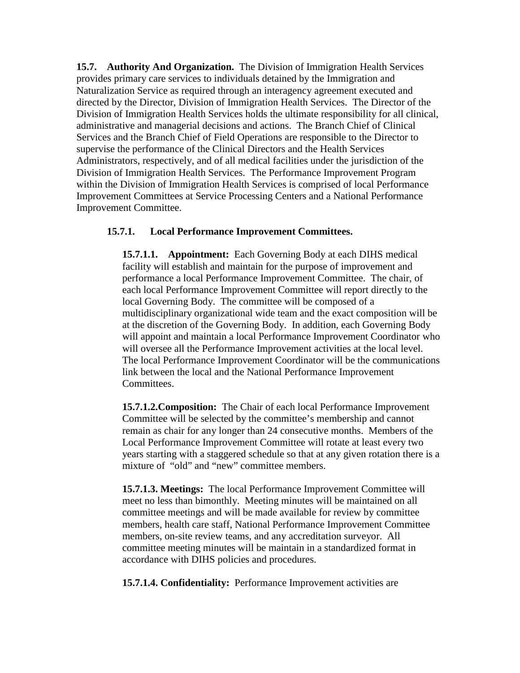**15.7. Authority And Organization.** The Division of Immigration Health Services provides primary care services to individuals detained by the Immigration and Naturalization Service as required through an interagency agreement executed and directed by the Director, Division of Immigration Health Services. The Director of the Division of Immigration Health Services holds the ultimate responsibility for all clinical, administrative and managerial decisions and actions. The Branch Chief of Clinical Services and the Branch Chief of Field Operations are responsible to the Director to supervise the performance of the Clinical Directors and the Health Services Administrators, respectively, and of all medical facilities under the jurisdiction of the Division of Immigration Health Services. The Performance Improvement Program within the Division of Immigration Health Services is comprised of local Performance Improvement Committees at Service Processing Centers and a National Performance Improvement Committee.

## **15.7.1. Local Performance Improvement Committees.**

**15.7.1.1. Appointment:** Each Governing Body at each DIHS medical facility will establish and maintain for the purpose of improvement and performance a local Performance Improvement Committee. The chair, of each local Performance Improvement Committee will report directly to the local Governing Body. The committee will be composed of a multidisciplinary organizational wide team and the exact composition will be at the discretion of the Governing Body. In addition, each Governing Body will appoint and maintain a local Performance Improvement Coordinator who will oversee all the Performance Improvement activities at the local level. The local Performance Improvement Coordinator will be the communications link between the local and the National Performance Improvement Committees.

**15.7.1.2.Composition:** The Chair of each local Performance Improvement Committee will be selected by the committee's membership and cannot remain as chair for any longer than 24 consecutive months. Members of the Local Performance Improvement Committee will rotate at least every two years starting with a staggered schedule so that at any given rotation there is a mixture of "old" and "new" committee members.

**15.7.1.3. Meetings:** The local Performance Improvement Committee will meet no less than bimonthly. Meeting minutes will be maintained on all committee meetings and will be made available for review by committee members, health care staff, National Performance Improvement Committee members, on-site review teams, and any accreditation surveyor. All committee meeting minutes will be maintain in a standardized format in accordance with DIHS policies and procedures.

**15.7.1.4. Confidentiality:** Performance Improvement activities are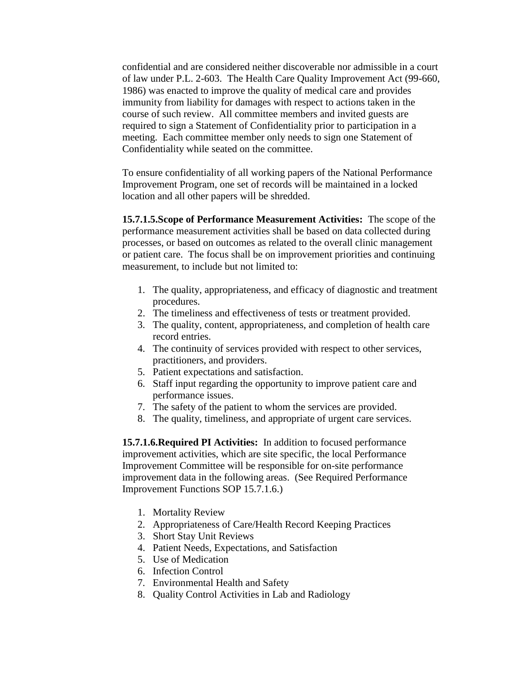confidential and are considered neither discoverable nor admissible in a court of law under P.L. 2-603. The Health Care Quality Improvement Act (99-660, 1986) was enacted to improve the quality of medical care and provides immunity from liability for damages with respect to actions taken in the course of such review. All committee members and invited guests are required to sign a Statement of Confidentiality prior to participation in a meeting. Each committee member only needs to sign one Statement of Confidentiality while seated on the committee.

To ensure confidentiality of all working papers of the National Performance Improvement Program, one set of records will be maintained in a locked location and all other papers will be shredded.

**15.7.1.5.Scope of Performance Measurement Activities:** The scope of the performance measurement activities shall be based on data collected during processes, or based on outcomes as related to the overall clinic management or patient care. The focus shall be on improvement priorities and continuing measurement, to include but not limited to:

- 1. The quality, appropriateness, and efficacy of diagnostic and treatment procedures.
- 2. The timeliness and effectiveness of tests or treatment provided.
- 3. The quality, content, appropriateness, and completion of health care record entries.
- 4. The continuity of services provided with respect to other services, practitioners, and providers.
- 5. Patient expectations and satisfaction.
- 6. Staff input regarding the opportunity to improve patient care and performance issues.
- 7. The safety of the patient to whom the services are provided.
- 8. The quality, timeliness, and appropriate of urgent care services.

**15.7.1.6.Required PI Activities:** In addition to focused performance improvement activities, which are site specific, the local Performance Improvement Committee will be responsible for on-site performance improvement data in the following areas. (See Required Performance Improvement Functions SOP 15.7.1.6.)

- 1. Mortality Review
- 2. Appropriateness of Care/Health Record Keeping Practices
- 3. Short Stay Unit Reviews
- 4. Patient Needs, Expectations, and Satisfaction
- 5. Use of Medication
- 6. Infection Control
- 7. Environmental Health and Safety
- 8. Quality Control Activities in Lab and Radiology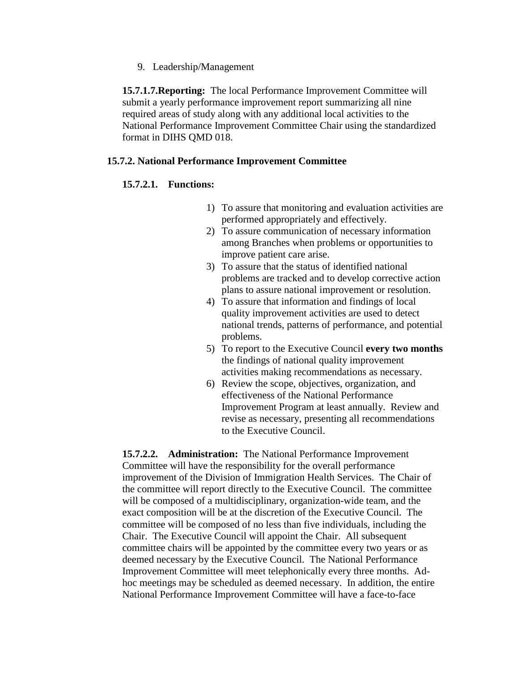9. Leadership/Management

**15.7.1.7.Reporting:** The local Performance Improvement Committee will submit a yearly performance improvement report summarizing all nine required areas of study along with any additional local activities to the National Performance Improvement Committee Chair using the standardized format in DIHS QMD 018.

### **15.7.2. National Performance Improvement Committee**

#### **15.7.2.1. Functions:**

- 1) To assure that monitoring and evaluation activities are performed appropriately and effectively.
- 2) To assure communication of necessary information among Branches when problems or opportunities to improve patient care arise.
- 3) To assure that the status of identified national problems are tracked and to develop corrective action plans to assure national improvement or resolution.
- 4) To assure that information and findings of local quality improvement activities are used to detect national trends, patterns of performance, and potential problems.
- 5) To report to the Executive Council **every two months** the findings of national quality improvement activities making recommendations as necessary.
- 6) Review the scope, objectives, organization, and effectiveness of the National Performance Improvement Program at least annually. Review and revise as necessary, presenting all recommendations to the Executive Council.

**15.7.2.2. Administration:** The National Performance Improvement Committee will have the responsibility for the overall performance improvement of the Division of Immigration Health Services. The Chair of the committee will report directly to the Executive Council. The committee will be composed of a multidisciplinary, organization-wide team, and the exact composition will be at the discretion of the Executive Council. The committee will be composed of no less than five individuals, including the Chair. The Executive Council will appoint the Chair. All subsequent committee chairs will be appointed by the committee every two years or as deemed necessary by the Executive Council. The National Performance Improvement Committee will meet telephonically every three months. Adhoc meetings may be scheduled as deemed necessary. In addition, the entire National Performance Improvement Committee will have a face-to-face